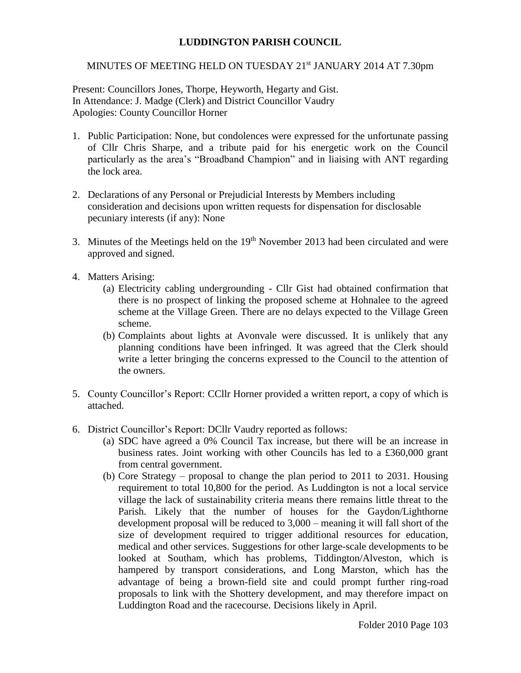## **LUDDINGTON PARISH COUNCIL**

## MINUTES OF MEETING HELD ON TUESDAY 21<sup>st</sup> JANUARY 2014 AT 7.30pm

Present: Councillors Jones, Thorpe, Heyworth, Hegarty and Gist. In Attendance: J. Madge (Clerk) and District Councillor Vaudry Apologies: County Councillor Horner

- 1. Public Participation: None, but condolences were expressed for the unfortunate passing of Cllr Chris Sharpe, and a tribute paid for his energetic work on the Council particularly as the area's "Broadband Champion" and in liaising with ANT regarding the lock area.
- 2. Declarations of any Personal or Prejudicial Interests by Members including consideration and decisions upon written requests for dispensation for disclosable pecuniary interests (if any): None
- 3. Minutes of the Meetings held on the  $19<sup>th</sup>$  November 2013 had been circulated and were approved and signed.
- 4. Matters Arising:
	- (a) Electricity cabling undergrounding Cllr Gist had obtained confirmation that there is no prospect of linking the proposed scheme at Hohnalee to the agreed scheme at the Village Green. There are no delays expected to the Village Green scheme.
	- (b) Complaints about lights at Avonvale were discussed. It is unlikely that any planning conditions have been infringed. It was agreed that the Clerk should write a letter bringing the concerns expressed to the Council to the attention of the owners.
- 5. County Councillor's Report: CCllr Horner provided a written report, a copy of which is attached.
- 6. District Councillor's Report: DCllr Vaudry reported as follows:
	- (a) SDC have agreed a 0% Council Tax increase, but there will be an increase in business rates. Joint working with other Councils has led to a £360,000 grant from central government.
	- (b) Core Strategy proposal to change the plan period to 2011 to 2031. Housing requirement to total 10,800 for the period. As Luddington is not a local service village the lack of sustainability criteria means there remains little threat to the Parish. Likely that the number of houses for the Gaydon/Lighthorne development proposal will be reduced to 3,000 – meaning it will fall short of the size of development required to trigger additional resources for education, medical and other services. Suggestions for other large-scale developments to be looked at Southam, which has problems, Tiddington/Alveston, which is hampered by transport considerations, and Long Marston, which has the advantage of being a brown-field site and could prompt further ring-road proposals to link with the Shottery development, and may therefore impact on Luddington Road and the racecourse. Decisions likely in April.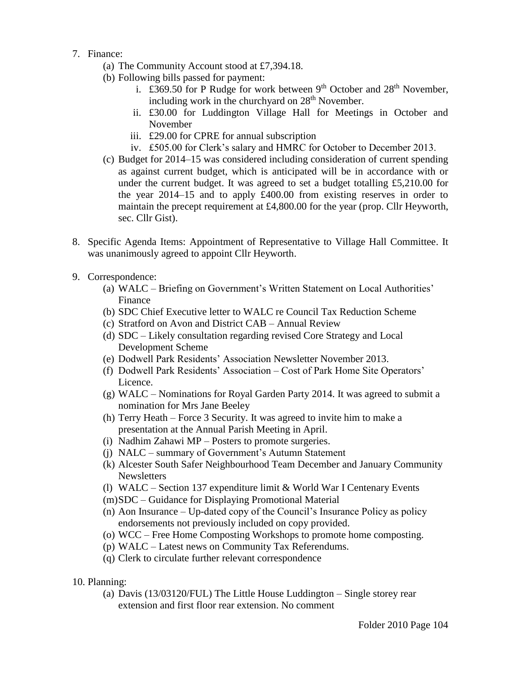- 7. Finance:
	- (a) The Community Account stood at £7,394.18.
	- (b) Following bills passed for payment:
		- i. £369.50 for P Rudge for work between  $9<sup>th</sup>$  October and  $28<sup>th</sup>$  November. including work in the churchyard on  $28<sup>th</sup>$  November.
		- ii. £30.00 for Luddington Village Hall for Meetings in October and November
		- iii. £29.00 for CPRE for annual subscription
		- iv. £505.00 for Clerk's salary and HMRC for October to December 2013.
	- (c) Budget for 2014–15 was considered including consideration of current spending as against current budget, which is anticipated will be in accordance with or under the current budget. It was agreed to set a budget totalling £5,210.00 for the year 2014–15 and to apply £400.00 from existing reserves in order to maintain the precept requirement at £4,800.00 for the year (prop. Cllr Heyworth, sec. Cllr Gist).
- 8. Specific Agenda Items: Appointment of Representative to Village Hall Committee. It was unanimously agreed to appoint Cllr Heyworth.
- 9. Correspondence:
	- (a) WALC Briefing on Government's Written Statement on Local Authorities' Finance
	- (b) SDC Chief Executive letter to WALC re Council Tax Reduction Scheme
	- (c) Stratford on Avon and District CAB Annual Review
	- (d) SDC Likely consultation regarding revised Core Strategy and Local Development Scheme
	- (e) Dodwell Park Residents' Association Newsletter November 2013.
	- (f) Dodwell Park Residents' Association Cost of Park Home Site Operators' Licence.
	- (g) WALC Nominations for Royal Garden Party 2014. It was agreed to submit a nomination for Mrs Jane Beeley
	- (h) Terry Heath Force 3 Security. It was agreed to invite him to make a presentation at the Annual Parish Meeting in April.
	- (i) Nadhim Zahawi MP Posters to promote surgeries.
	- (j) NALC summary of Government's Autumn Statement
	- (k) Alcester South Safer Neighbourhood Team December and January Community **Newsletters**
	- (l) WALC Section 137 expenditure limit & World War I Centenary Events
	- (m)SDC Guidance for Displaying Promotional Material
	- (n) Aon Insurance Up-dated copy of the Council's Insurance Policy as policy endorsements not previously included on copy provided.
	- (o) WCC Free Home Composting Workshops to promote home composting.
	- (p) WALC Latest news on Community Tax Referendums.
	- (q) Clerk to circulate further relevant correspondence
- 10. Planning:
	- (a) Davis (13/03120/FUL) The Little House Luddington Single storey rear extension and first floor rear extension. No comment